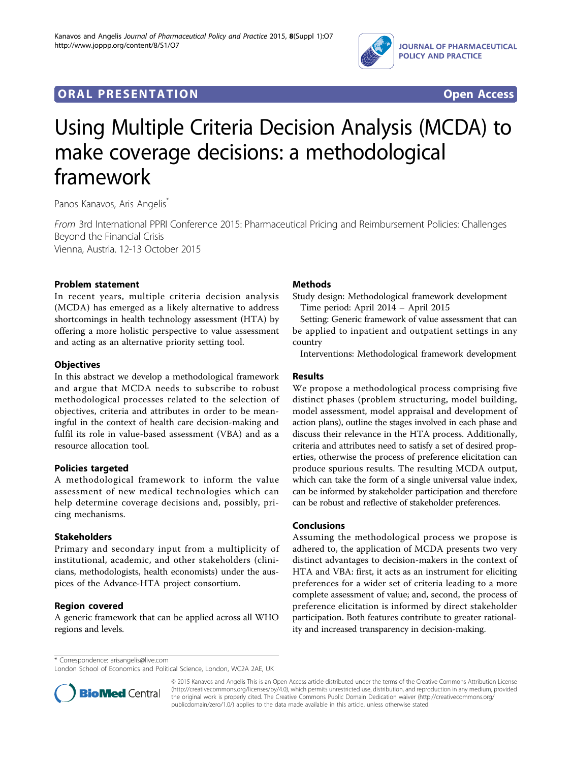

# **ORAL PRESENTATION CONSUMING ACCESS**



# Using Multiple Criteria Decision Analysis (MCDA) to make coverage decisions: a methodological framework

Panos Kanavos, Aris Angelis<sup>\*</sup>

From 3rd International PPRI Conference 2015: Pharmaceutical Pricing and Reimbursement Policies: Challenges Beyond the Financial Crisis Vienna, Austria. 12-13 October 2015

Problem statement

In recent years, multiple criteria decision analysis (MCDA) has emerged as a likely alternative to address shortcomings in health technology assessment (HTA) by offering a more holistic perspective to value assessment and acting as an alternative priority setting tool.

#### **Objectives**

In this abstract we develop a methodological framework and argue that MCDA needs to subscribe to robust methodological processes related to the selection of objectives, criteria and attributes in order to be meaningful in the context of health care decision-making and fulfil its role in value-based assessment (VBA) and as a resource allocation tool.

## Policies targeted

A methodological framework to inform the value assessment of new medical technologies which can help determine coverage decisions and, possibly, pricing mechanisms.

#### **Stakeholders**

Primary and secondary input from a multiplicity of institutional, academic, and other stakeholders (clinicians, methodologists, health economists) under the auspices of the Advance-HTA project consortium.

#### Region covered

A generic framework that can be applied across all WHO regions and levels.

## **Methods**

Study design: Methodological framework development Time period: April 2014 – April 2015

Setting: Generic framework of value assessment that can be applied to inpatient and outpatient settings in any country

Interventions: Methodological framework development

#### Results

We propose a methodological process comprising five distinct phases (problem structuring, model building, model assessment, model appraisal and development of action plans), outline the stages involved in each phase and discuss their relevance in the HTA process. Additionally, criteria and attributes need to satisfy a set of desired properties, otherwise the process of preference elicitation can produce spurious results. The resulting MCDA output, which can take the form of a single universal value index, can be informed by stakeholder participation and therefore can be robust and reflective of stakeholder preferences.

#### Conclusions

Assuming the methodological process we propose is adhered to, the application of MCDA presents two very distinct advantages to decision-makers in the context of HTA and VBA: first, it acts as an instrument for eliciting preferences for a wider set of criteria leading to a more complete assessment of value; and, second, the process of preference elicitation is informed by direct stakeholder participation. Both features contribute to greater rationality and increased transparency in decision-making.

\* Correspondence: [arisangelis@live.com](mailto:arisangelis@live.com)

London School of Economics and Political Science, London, WC2A 2AE, UK



© 2015 Kanavos and Angelis This is an Open Access article distributed under the terms of the Creative Commons Attribution License [\(http://creativecommons.org/licenses/by/4.0](http://creativecommons.org/licenses/by/4.0)), which permits unrestricted use, distribution, and reproduction in any medium, provided the original work is properly cited. The Creative Commons Public Domain Dedication waiver ([http://creativecommons.org/](http://creativecommons.org/publicdomain/zero/1.0/) [publicdomain/zero/1.0/](http://creativecommons.org/publicdomain/zero/1.0/)) applies to the data made available in this article, unless otherwise stated